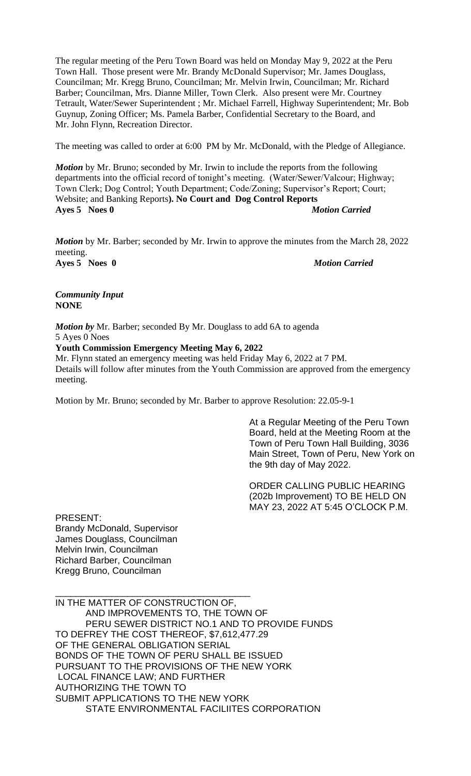The regular meeting of the Peru Town Board was held on Monday May 9, 2022 at the Peru Town Hall. Those present were Mr. Brandy McDonald Supervisor; Mr. James Douglass, Councilman; Mr. Kregg Bruno, Councilman; Mr. Melvin Irwin, Councilman; Mr. Richard Barber; Councilman, Mrs. Dianne Miller, Town Clerk. Also present were Mr. Courtney Tetrault, Water/Sewer Superintendent ; Mr. Michael Farrell, Highway Superintendent; Mr. Bob Guynup, Zoning Officer; Ms. Pamela Barber, Confidential Secretary to the Board, and Mr. John Flynn, Recreation Director.

The meeting was called to order at 6:00 PM by Mr. McDonald, with the Pledge of Allegiance.

*Motion* by Mr. Bruno; seconded by Mr. Irwin to include the reports from the following departments into the official record of tonight's meeting. (Water/Sewer/Valcour; Highway; Town Clerk; Dog Control; Youth Department; Code/Zoning; Supervisor's Report; Court; Website; and Banking Reports**). No Court and Dog Control Reports Ayes 5 Noes 0** *Motion Carried*

*Motion* by Mr. Barber; seconded by Mr. Irwin to approve the minutes from the March 28, 2022 meeting. **Ayes 5 Noes 0** *Motion Carried*

*Community Input*  **NONE**

*Motion by* Mr. Barber; seconded By Mr. Douglass to add 6A to agenda 5 Ayes 0 Noes

**Youth Commission Emergency Meeting May 6, 2022**

Mr. Flynn stated an emergency meeting was held Friday May 6, 2022 at 7 PM. Details will follow after minutes from the Youth Commission are approved from the emergency meeting.

Motion by Mr. Bruno; seconded by Mr. Barber to approve Resolution: 22.05-9-1

At a Regular Meeting of the Peru Town Board, held at the Meeting Room at the Town of Peru Town Hall Building, 3036 Main Street, Town of Peru, New York on the 9th day of May 2022.

ORDER CALLING PUBLIC HEARING (202b Improvement) TO BE HELD ON MAY 23, 2022 AT 5:45 O'CLOCK P.M.

PRESENT: Brandy McDonald, Supervisor James Douglass, Councilman Melvin Irwin, Councilman Richard Barber, Councilman Kregg Bruno, Councilman

\_\_\_\_\_\_\_\_\_\_\_\_\_\_\_\_\_\_\_\_\_\_\_\_\_\_\_\_\_\_\_\_\_\_\_\_\_\_ IN THE MATTER OF CONSTRUCTION OF, AND IMPROVEMENTS TO, THE TOWN OF PERU SEWER DISTRICT NO.1 AND TO PROVIDE FUNDS TO DEFREY THE COST THEREOF, \$7,612,477.29 OF THE GENERAL OBLIGATION SERIAL BONDS OF THE TOWN OF PERU SHALL BE ISSUED PURSUANT TO THE PROVISIONS OF THE NEW YORK LOCAL FINANCE LAW; AND FURTHER AUTHORIZING THE TOWN TO SUBMIT APPLICATIONS TO THE NEW YORK STATE ENVIRONMENTAL FACILIITES CORPORATION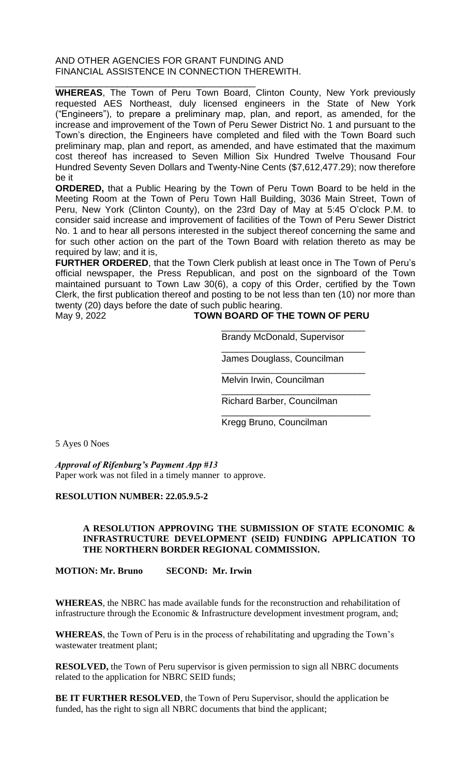## AND OTHER AGENCIES FOR GRANT FUNDING AND FINANCIAL ASSISTENCE IN CONNECTION THEREWITH.

\_\_\_\_\_\_\_\_\_\_\_\_\_\_\_\_\_\_\_\_\_\_\_\_\_\_\_\_\_\_\_\_\_\_\_\_\_\_\_ **WHEREAS**, The Town of Peru Town Board, Clinton County, New York previously requested AES Northeast, duly licensed engineers in the State of New York ("Engineers"), to prepare a preliminary map, plan, and report, as amended, for the increase and improvement of the Town of Peru Sewer District No. 1 and pursuant to the Town's direction, the Engineers have completed and filed with the Town Board such preliminary map, plan and report, as amended, and have estimated that the maximum cost thereof has increased to Seven Million Six Hundred Twelve Thousand Four Hundred Seventy Seven Dollars and Twenty-Nine Cents (\$7,612,477.29); now therefore be it

**ORDERED,** that a Public Hearing by the Town of Peru Town Board to be held in the Meeting Room at the Town of Peru Town Hall Building, 3036 Main Street, Town of Peru, New York (Clinton County), on the 23rd Day of May at 5:45 O'clock P.M. to consider said increase and improvement of facilities of the Town of Peru Sewer District No. 1 and to hear all persons interested in the subject thereof concerning the same and for such other action on the part of the Town Board with relation thereto as may be required by law; and it is,

**FURTHER ORDERED**, that the Town Clerk publish at least once in The Town of Peru's official newspaper, the Press Republican, and post on the signboard of the Town maintained pursuant to Town Law 30(6), a copy of this Order, certified by the Town Clerk, the first publication thereof and posting to be not less than ten (10) nor more than twenty (20) days before the date of such public hearing.

May 9, 2022 **TOWN BOARD OF THE TOWN OF PERU**

\_\_\_\_\_\_\_\_\_\_\_\_\_\_\_\_\_\_\_\_\_\_\_\_\_\_\_\_ Brandy McDonald, Supervisor

\_\_\_\_\_\_\_\_\_\_\_\_\_\_\_\_\_\_\_\_\_\_\_\_\_\_\_\_ James Douglass, Councilman

\_\_\_\_\_\_\_\_\_\_\_\_\_\_\_\_\_\_\_\_\_\_\_\_\_\_\_\_ Melvin Irwin, Councilman

\_\_\_\_\_\_\_\_\_\_\_\_\_\_\_\_\_\_\_\_\_\_\_\_\_\_\_\_\_ Richard Barber, Councilman

\_\_\_\_\_\_\_\_\_\_\_\_\_\_\_\_\_\_\_\_\_\_\_\_\_\_\_\_\_

Kregg Bruno, Councilman

5 Ayes 0 Noes

*Approval of Rifenburg's Payment App #13*

Paper work was not filed in a timely manner to approve.

## **RESOLUTION NUMBER: 22.05.9.5-2**

#### **A RESOLUTION APPROVING THE SUBMISSION OF STATE ECONOMIC & INFRASTRUCTURE DEVELOPMENT (SEID) FUNDING APPLICATION TO THE NORTHERN BORDER REGIONAL COMMISSION.**

**MOTION: Mr. Bruno SECOND: Mr. Irwin**

**WHEREAS**, the NBRC has made available funds for the reconstruction and rehabilitation of infrastructure through the Economic & Infrastructure development investment program, and;

**WHEREAS**, the Town of Peru is in the process of rehabilitating and upgrading the Town's wastewater treatment plant;

**RESOLVED,** the Town of Peru supervisor is given permission to sign all NBRC documents related to the application for NBRC SEID funds;

**BE IT FURTHER RESOLVED**, the Town of Peru Supervisor, should the application be funded, has the right to sign all NBRC documents that bind the applicant;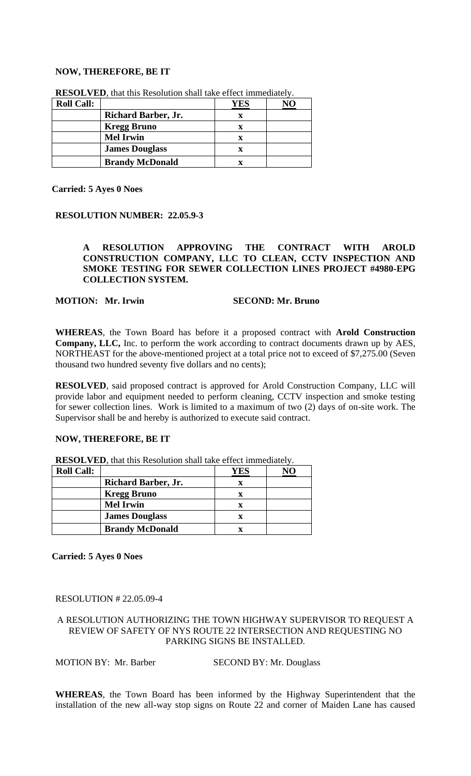#### **NOW, THEREFORE, BE IT**

| <b>Roll Call:</b> |                            | YES |  |
|-------------------|----------------------------|-----|--|
|                   | <b>Richard Barber, Jr.</b> | x   |  |
|                   | <b>Kregg Bruno</b>         | x   |  |
|                   | <b>Mel Irwin</b>           | x   |  |
|                   | <b>James Douglass</b>      |     |  |
|                   | <b>Brandy McDonald</b>     |     |  |

**RESOLVED**, that this Resolution shall take effect immediately.

**Carried: 5 Ayes 0 Noes**

#### **RESOLUTION NUMBER: 22.05.9-3**

#### **A RESOLUTION APPROVING THE CONTRACT WITH AROLD CONSTRUCTION COMPANY, LLC TO CLEAN, CCTV INSPECTION AND SMOKE TESTING FOR SEWER COLLECTION LINES PROJECT #4980-EPG COLLECTION SYSTEM.**

#### **MOTION: Mr. Irwin SECOND: Mr. Bruno**

**WHEREAS**, the Town Board has before it a proposed contract with **Arold Construction Company, LLC,** Inc. to perform the work according to contract documents drawn up by AES, NORTHEAST for the above-mentioned project at a total price not to exceed of \$7,275.00 (Seven thousand two hundred seventy five dollars and no cents);

**RESOLVED**, said proposed contract is approved for Arold Construction Company, LLC will provide labor and equipment needed to perform cleaning, CCTV inspection and smoke testing for sewer collection lines. Work is limited to a maximum of two (2) days of on-site work. The Supervisor shall be and hereby is authorized to execute said contract.

## **NOW, THEREFORE, BE IT**

**RESOLVED**, that this Resolution shall take effect immediately.

| <b>Roll Call:</b> |                            | YES |  |
|-------------------|----------------------------|-----|--|
|                   | <b>Richard Barber, Jr.</b> |     |  |
|                   | <b>Kregg Bruno</b>         |     |  |
|                   | <b>Mel Irwin</b>           |     |  |
|                   | <b>James Douglass</b>      |     |  |
|                   | <b>Brandy McDonald</b>     | Х   |  |

**Carried: 5 Ayes 0 Noes**

#### RESOLUTION # 22.05.09-4

#### A RESOLUTION AUTHORIZING THE TOWN HIGHWAY SUPERVISOR TO REQUEST A REVIEW OF SAFETY OF NYS ROUTE 22 INTERSECTION AND REQUESTING NO PARKING SIGNS BE INSTALLED.

MOTION BY: Mr. Barber SECOND BY: Mr. Douglass

**WHEREAS**, the Town Board has been informed by the Highway Superintendent that the installation of the new all-way stop signs on Route 22 and corner of Maiden Lane has caused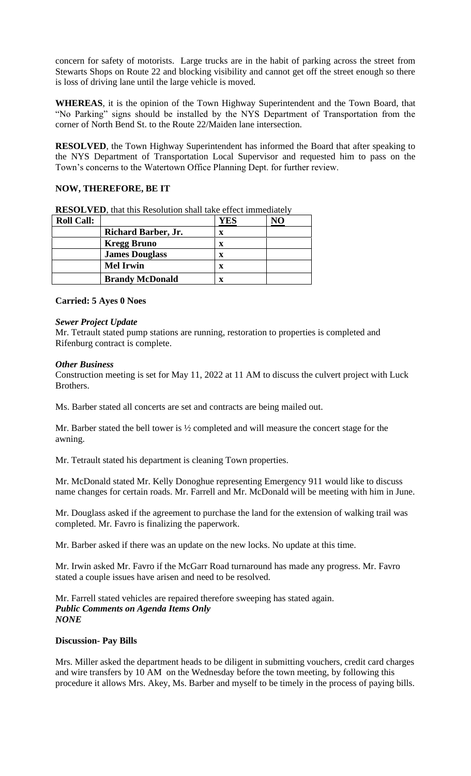concern for safety of motorists. Large trucks are in the habit of parking across the street from Stewarts Shops on Route 22 and blocking visibility and cannot get off the street enough so there is loss of driving lane until the large vehicle is moved.

**WHEREAS**, it is the opinion of the Town Highway Superintendent and the Town Board, that "No Parking" signs should be installed by the NYS Department of Transportation from the corner of North Bend St. to the Route 22/Maiden lane intersection.

**RESOLVED**, the Town Highway Superintendent has informed the Board that after speaking to the NYS Department of Transportation Local Supervisor and requested him to pass on the Town's concerns to the Watertown Office Planning Dept. for further review.

# **NOW, THEREFORE, BE IT**

| <b>Roll Call:</b> |                            | YES |  |
|-------------------|----------------------------|-----|--|
|                   | <b>Richard Barber, Jr.</b> | x   |  |
|                   | <b>Kregg Bruno</b>         | x   |  |
|                   | <b>James Douglass</b>      | x   |  |
|                   | <b>Mel Irwin</b>           | x   |  |
|                   | <b>Brandy McDonald</b>     | x   |  |

**RESOLVED**, that this Resolution shall take effect immediately

## **Carried: 5 Ayes 0 Noes**

#### *Sewer Project Update*

Mr. Tetrault stated pump stations are running, restoration to properties is completed and Rifenburg contract is complete.

#### *Other Business*

Construction meeting is set for May 11, 2022 at 11 AM to discuss the culvert project with Luck Brothers.

Ms. Barber stated all concerts are set and contracts are being mailed out.

Mr. Barber stated the bell tower is ½ completed and will measure the concert stage for the awning.

Mr. Tetrault stated his department is cleaning Town properties.

Mr. McDonald stated Mr. Kelly Donoghue representing Emergency 911 would like to discuss name changes for certain roads. Mr. Farrell and Mr. McDonald will be meeting with him in June.

Mr. Douglass asked if the agreement to purchase the land for the extension of walking trail was completed. Mr. Favro is finalizing the paperwork.

Mr. Barber asked if there was an update on the new locks. No update at this time.

Mr. Irwin asked Mr. Favro if the McGarr Road turnaround has made any progress. Mr. Favro stated a couple issues have arisen and need to be resolved.

Mr. Farrell stated vehicles are repaired therefore sweeping has stated again. *Public Comments on Agenda Items Only NONE*

## **Discussion- Pay Bills**

Mrs. Miller asked the department heads to be diligent in submitting vouchers, credit card charges and wire transfers by 10 AM on the Wednesday before the town meeting, by following this procedure it allows Mrs. Akey, Ms. Barber and myself to be timely in the process of paying bills.